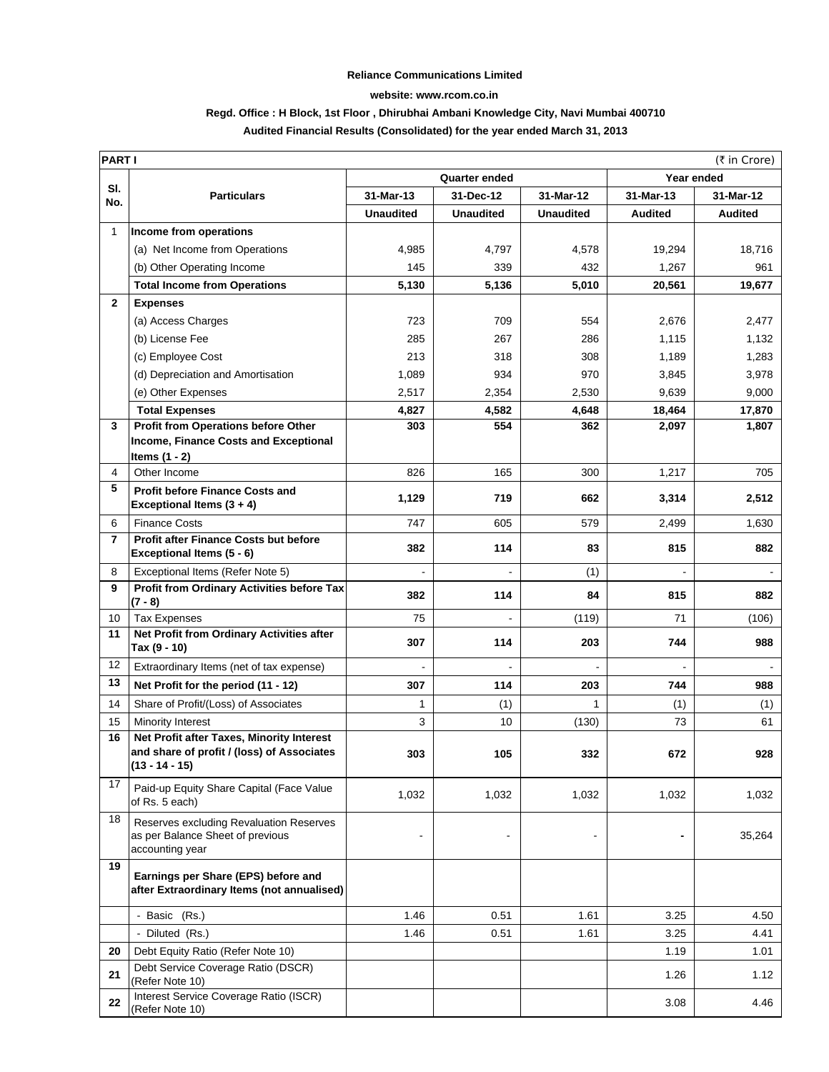#### **Reliance Communications Limited**

#### **website: www.rcom.co.in**

## **Regd. Office : H Block, 1st Floor , Dhirubhai Ambani Knowledge City, Navi Mumbai 400710**

### **Audited Financial Results (Consolidated) for the year ended March 31, 2013**

| <b>PARTI</b>         |                                                                                                             |                  |                  |                  |                | (₹ in Crore)   |  |
|----------------------|-------------------------------------------------------------------------------------------------------------|------------------|------------------|------------------|----------------|----------------|--|
| <b>Quarter ended</b> |                                                                                                             |                  |                  |                  |                | Year ended     |  |
| SI.<br>No.           | <b>Particulars</b>                                                                                          | 31-Mar-13        | 31-Dec-12        | 31-Mar-12        | 31-Mar-13      | 31-Mar-12      |  |
|                      |                                                                                                             | <b>Unaudited</b> | <b>Unaudited</b> | <b>Unaudited</b> | <b>Audited</b> | <b>Audited</b> |  |
| $\mathbf{1}$         | Income from operations                                                                                      |                  |                  |                  |                |                |  |
|                      | (a) Net Income from Operations                                                                              | 4,985            | 4,797            | 4,578            | 19,294         | 18,716         |  |
|                      | (b) Other Operating Income                                                                                  | 145              | 339              | 432              | 1,267          | 961            |  |
|                      | <b>Total Income from Operations</b>                                                                         | 5,130            | 5,136            | 5,010            | 20,561         | 19,677         |  |
| 2                    | <b>Expenses</b>                                                                                             |                  |                  |                  |                |                |  |
|                      | (a) Access Charges                                                                                          | 723              | 709              | 554              | 2,676          | 2,477          |  |
|                      | (b) License Fee                                                                                             | 285              | 267              | 286              | 1,115          | 1,132          |  |
|                      | (c) Employee Cost                                                                                           | 213              | 318              | 308              | 1,189          | 1,283          |  |
|                      | (d) Depreciation and Amortisation                                                                           | 1,089            | 934              | 970              | 3,845          | 3,978          |  |
|                      | (e) Other Expenses                                                                                          | 2,517            | 2,354            | 2,530            | 9,639          | 9,000          |  |
|                      | <b>Total Expenses</b>                                                                                       | 4,827            | 4,582            | 4,648            | 18,464         | 17,870         |  |
| 3                    | Profit from Operations before Other                                                                         | 303              | 554              | 362              | 2,097          | 1,807          |  |
|                      | Income, Finance Costs and Exceptional                                                                       |                  |                  |                  |                |                |  |
| 4                    | Items $(1 - 2)$<br>Other Income                                                                             | 826              | 165              | 300              | 1,217          | 705            |  |
| 5                    |                                                                                                             |                  |                  |                  |                |                |  |
|                      | <b>Profit before Finance Costs and</b><br>Exceptional Items (3 + 4)                                         | 1,129            | 719              | 662              | 3,314          | 2,512          |  |
| 6                    | <b>Finance Costs</b>                                                                                        | 747              | 605              | 579              | 2,499          | 1,630          |  |
| $\overline{7}$       | <b>Profit after Finance Costs but before</b><br>Exceptional Items (5 - 6)                                   | 382              | 114              | 83               | 815            | 882            |  |
| 8                    | Exceptional Items (Refer Note 5)                                                                            |                  |                  | (1)              |                |                |  |
| 9                    | <b>Profit from Ordinary Activities before Tax</b><br>(7 - 8)                                                | 382              | 114              | 84               | 815            | 882            |  |
| 10                   | <b>Tax Expenses</b>                                                                                         | 75               |                  | (119)            | 71             | (106)          |  |
| 11                   | Net Profit from Ordinary Activities after<br>Tax (9 - 10)                                                   | 307              | 114              | 203              | 744            | 988            |  |
| 12                   | Extraordinary Items (net of tax expense)                                                                    |                  |                  |                  |                |                |  |
| 13                   | Net Profit for the period (11 - 12)                                                                         | 307              | 114              | 203              | 744            | 988            |  |
| 14                   | Share of Profit/(Loss) of Associates                                                                        | 1                | (1)              | 1                | (1)            | (1)            |  |
| 15                   | <b>Minority Interest</b>                                                                                    | 3                | 10               | (130)            | 73             | 61             |  |
| 16                   | Net Profit after Taxes, Minority Interest<br>and share of profit / (loss) of Associates<br>$(13 - 14 - 15)$ | 303              | 105              | 332              | 672            | 928            |  |
| 17                   | Paid-up Equity Share Capital (Face Value<br>of Rs. 5 each)                                                  | 1,032            | 1,032            | 1,032            | 1,032          | 1,032          |  |
| 18                   | Reserves excluding Revaluation Reserves<br>as per Balance Sheet of previous<br>accounting year              |                  |                  |                  |                | 35,264         |  |
| 19                   | Earnings per Share (EPS) before and<br>after Extraordinary Items (not annualised)                           |                  |                  |                  |                |                |  |
|                      | - Basic (Rs.)                                                                                               | 1.46             | 0.51             | 1.61             | 3.25           | 4.50           |  |
|                      | Diluted (Rs.)                                                                                               | 1.46             | 0.51             | 1.61             | 3.25           | 4.41           |  |
| 20                   | Debt Equity Ratio (Refer Note 10)                                                                           |                  |                  |                  | 1.19           | 1.01           |  |
| 21                   | Debt Service Coverage Ratio (DSCR)<br>(Refer Note 10)                                                       |                  |                  |                  | 1.26           | 1.12           |  |
| 22                   | Interest Service Coverage Ratio (ISCR)<br>(Refer Note 10)                                                   |                  |                  |                  | 3.08           | 4.46           |  |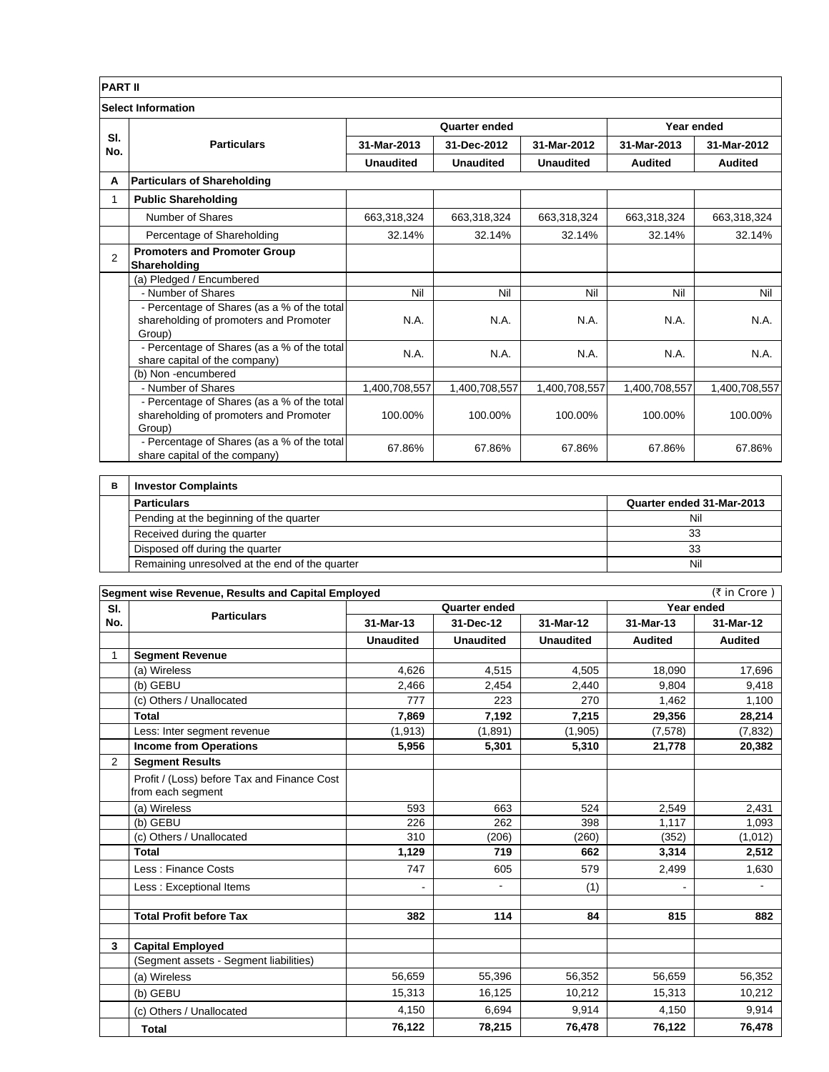| <b>PART II</b>            |                                                                                                 |                      |                  |                  |                |                |
|---------------------------|-------------------------------------------------------------------------------------------------|----------------------|------------------|------------------|----------------|----------------|
| <b>Select Information</b> |                                                                                                 |                      |                  |                  |                |                |
|                           |                                                                                                 | <b>Quarter ended</b> |                  |                  | Year ended     |                |
| SI.<br>No.                | <b>Particulars</b>                                                                              | 31-Mar-2013          | 31-Dec-2012      | 31-Mar-2012      | 31-Mar-2013    | 31-Mar-2012    |
|                           |                                                                                                 | <b>Unaudited</b>     | <b>Unaudited</b> | <b>Unaudited</b> | <b>Audited</b> | <b>Audited</b> |
| A                         | <b>Particulars of Shareholding</b>                                                              |                      |                  |                  |                |                |
|                           | <b>Public Shareholding</b>                                                                      |                      |                  |                  |                |                |
|                           | Number of Shares                                                                                | 663,318,324          | 663,318,324      | 663,318,324      | 663,318,324    | 663,318,324    |
|                           | Percentage of Shareholding                                                                      | 32.14%               | 32.14%           | 32.14%           | 32.14%         | 32.14%         |
| $\overline{2}$            | <b>Promoters and Promoter Group</b><br>Shareholding                                             |                      |                  |                  |                |                |
|                           | (a) Pledged / Encumbered                                                                        |                      |                  |                  |                |                |
|                           | - Number of Shares                                                                              | Nil                  | Nil              | Nil              | Nil            | Nil            |
|                           | - Percentage of Shares (as a % of the total<br>shareholding of promoters and Promoter<br>Group) | N.A.                 | N.A.             | N.A.             | N.A.           | N.A.           |
|                           | - Percentage of Shares (as a % of the total<br>share capital of the company)                    | N.A.                 | N.A.             | N.A.             | N.A.           | N.A.           |
|                           | (b) Non-encumbered                                                                              |                      |                  |                  |                |                |
|                           | - Number of Shares                                                                              | 1,400,708,557        | 1,400,708,557    | 1,400,708,557    | 1,400,708,557  | 1,400,708,557  |
|                           | - Percentage of Shares (as a % of the total<br>shareholding of promoters and Promoter<br>Group) | 100.00%              | 100.00%          | 100.00%          | 100.00%        | 100.00%        |
|                           | - Percentage of Shares (as a % of the total<br>share capital of the company)                    | 67.86%               | 67.86%           | 67.86%           | 67.86%         | 67.86%         |

| в | <b>Investor Complaints</b>                     |                           |
|---|------------------------------------------------|---------------------------|
|   | <b>Particulars</b>                             | Quarter ended 31-Mar-2013 |
|   | Pending at the beginning of the quarter        | Nil                       |
|   | Received during the quarter                    | 33                        |
|   | Disposed off during the quarter                | 33                        |
|   | Remaining unresolved at the end of the quarter | Nil                       |

|                | (₹ in Crore)<br>Segment wise Revenue, Results and Capital Employed |                      |                          |                  |                |                |  |
|----------------|--------------------------------------------------------------------|----------------------|--------------------------|------------------|----------------|----------------|--|
| SI.            | <b>Particulars</b>                                                 | <b>Quarter ended</b> |                          |                  | Year ended     |                |  |
| No.            |                                                                    | 31-Mar-13            | 31-Dec-12                | 31-Mar-12        | 31-Mar-13      | 31-Mar-12      |  |
|                |                                                                    | <b>Unaudited</b>     | <b>Unaudited</b>         | <b>Unaudited</b> | <b>Audited</b> | <b>Audited</b> |  |
|                | <b>Segment Revenue</b>                                             |                      |                          |                  |                |                |  |
|                | (a) Wireless                                                       | 4,626                | 4,515                    | 4,505            | 18,090         | 17,696         |  |
|                | (b) GEBU                                                           | 2,466                | 2,454                    | 2,440            | 9.804          | 9,418          |  |
|                | (c) Others / Unallocated                                           | 777                  | 223                      | 270              | 1,462          | 1,100          |  |
|                | <b>Total</b>                                                       | 7,869                | 7,192                    | 7,215            | 29,356         | 28,214         |  |
|                | Less: Inter segment revenue                                        | (1, 913)             | (1,891)                  | (1,905)          | (7,578)        | (7, 832)       |  |
|                | <b>Income from Operations</b>                                      | 5,956                | 5,301                    | 5,310            | 21,778         | 20,382         |  |
| $\overline{2}$ | <b>Segment Results</b>                                             |                      |                          |                  |                |                |  |
|                | Profit / (Loss) before Tax and Finance Cost<br>from each segment   |                      |                          |                  |                |                |  |
|                | (a) Wireless                                                       | 593                  | 663                      | 524              | 2,549          | 2,431          |  |
|                | (b) GEBU                                                           | 226                  | 262                      | 398              | 1,117          | 1,093          |  |
|                | (c) Others / Unallocated                                           | 310                  | (206)                    | (260)            | (352)          | (1,012)        |  |
|                | <b>Total</b>                                                       | 1,129                | 719                      | 662              | 3,314          | 2,512          |  |
|                | Less: Finance Costs                                                | 747                  | 605                      | 579              | 2,499          | 1,630          |  |
|                | Less: Exceptional Items                                            |                      | $\overline{\phantom{a}}$ | (1)              |                | $\blacksquare$ |  |
|                |                                                                    |                      |                          |                  |                |                |  |
|                | <b>Total Profit before Tax</b>                                     | 382                  | 114                      | 84               | 815            | 882            |  |
|                |                                                                    |                      |                          |                  |                |                |  |
| 3              | <b>Capital Employed</b>                                            |                      |                          |                  |                |                |  |
|                | (Segment assets - Segment liabilities)                             |                      |                          |                  |                |                |  |
|                | (a) Wireless                                                       | 56,659               | 55,396                   | 56,352           | 56,659         | 56,352         |  |
|                | (b) GEBU                                                           | 15,313               | 16,125                   | 10,212           | 15,313         | 10,212         |  |
|                | (c) Others / Unallocated                                           | 4,150                | 6,694                    | 9,914            | 4,150          | 9,914          |  |
|                | <b>Total</b>                                                       | 76,122               | 78,215                   | 76,478           | 76,122         | 76,478         |  |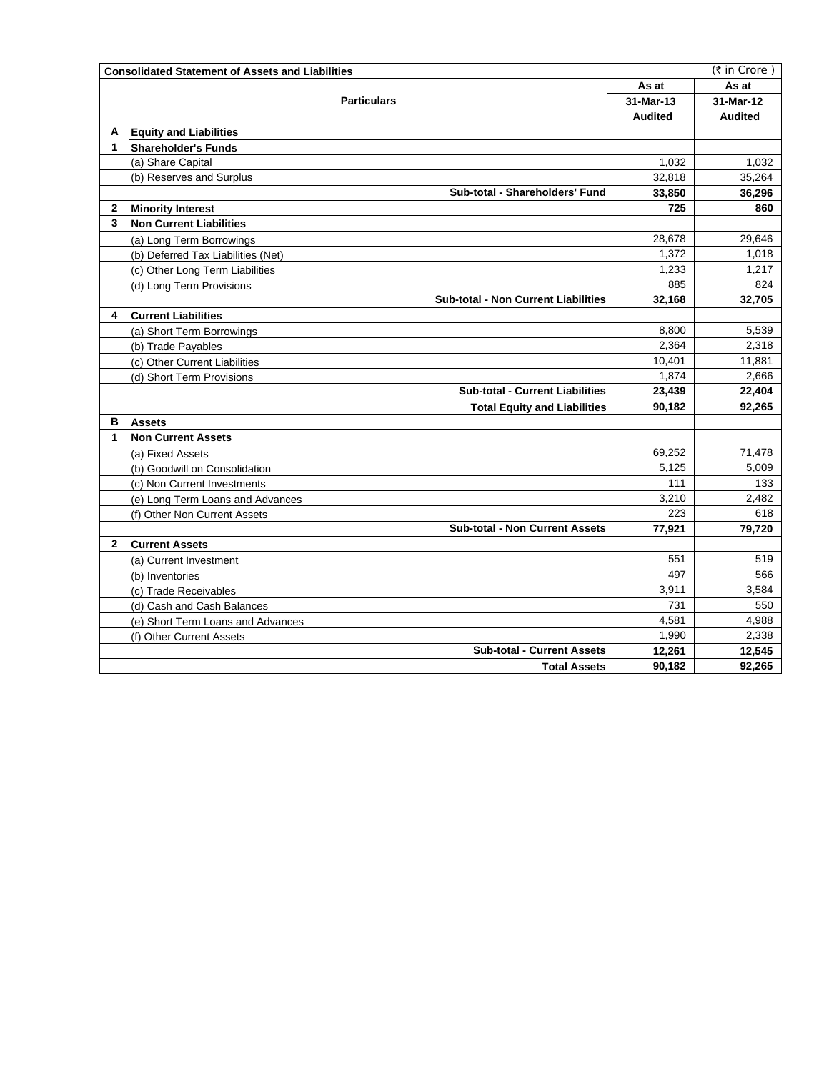|              | (₹ in Crore)<br><b>Consolidated Statement of Assets and Liabilities</b> |                |                |  |  |
|--------------|-------------------------------------------------------------------------|----------------|----------------|--|--|
|              |                                                                         | As at          | As at          |  |  |
|              | <b>Particulars</b>                                                      | 31-Mar-13      | 31-Mar-12      |  |  |
|              |                                                                         | <b>Audited</b> | <b>Audited</b> |  |  |
| A            | <b>Equity and Liabilities</b>                                           |                |                |  |  |
| 1            | <b>Shareholder's Funds</b>                                              |                |                |  |  |
|              | (a) Share Capital                                                       | 1,032          | 1,032          |  |  |
|              | (b) Reserves and Surplus                                                | 32,818         | 35,264         |  |  |
|              | Sub-total - Shareholders' Fund                                          | 33,850         | 36,296         |  |  |
| $\mathbf{2}$ | <b>Minority Interest</b>                                                | 725            | 860            |  |  |
| 3            | Non Current Liabilities                                                 |                |                |  |  |
|              | (a) Long Term Borrowings                                                | 28,678         | 29,646         |  |  |
|              | (b) Deferred Tax Liabilities (Net)                                      | 1.372          | 1.018          |  |  |
|              | (c) Other Long Term Liabilities                                         | 1,233          | 1,217          |  |  |
|              | (d) Long Term Provisions                                                | 885            | 824            |  |  |
|              | Sub-total - Non Current Liabilities                                     | 32,168         | 32,705         |  |  |
| 4            | <b>Current Liabilities</b>                                              |                |                |  |  |
|              | (a) Short Term Borrowings                                               | 8,800          | 5,539          |  |  |
|              | (b) Trade Payables                                                      | 2.364          | 2,318          |  |  |
|              | (c) Other Current Liabilities                                           | 10,401         | 11,881         |  |  |
|              | (d) Short Term Provisions                                               | 1,874          | 2,666          |  |  |
|              | <b>Sub-total - Current Liabilities</b>                                  | 23,439         | 22,404         |  |  |
|              | <b>Total Equity and Liabilities</b>                                     | 90,182         | 92,265         |  |  |
| В            | <b>Assets</b>                                                           |                |                |  |  |
| 1            | <b>Non Current Assets</b>                                               |                |                |  |  |
|              | (a) Fixed Assets                                                        | 69,252         | 71,478         |  |  |
|              | (b) Goodwill on Consolidation                                           | 5,125          | 5,009          |  |  |
|              | (c) Non Current Investments                                             | 111            | 133            |  |  |
|              | (e) Long Term Loans and Advances                                        | 3,210          | 2,482          |  |  |
|              | (f) Other Non Current Assets                                            | 223            | 618            |  |  |
|              | <b>Sub-total - Non Current Assets</b>                                   | 77,921         | 79,720         |  |  |
| $\mathbf{2}$ | <b>Current Assets</b>                                                   |                |                |  |  |
|              | (a) Current Investment                                                  | 551            | 519            |  |  |
|              | (b) Inventories                                                         | 497            | 566            |  |  |
|              | (c) Trade Receivables                                                   | 3,911          | 3,584          |  |  |
|              | (d) Cash and Cash Balances                                              | 731            | 550            |  |  |
|              | (e) Short Term Loans and Advances                                       | 4,581          | 4,988          |  |  |
|              | (f) Other Current Assets                                                | 1,990          | 2,338          |  |  |
|              | <b>Sub-total - Current Assets</b>                                       | 12,261         | 12,545         |  |  |
|              | <b>Total Assets</b>                                                     | 90,182         | 92,265         |  |  |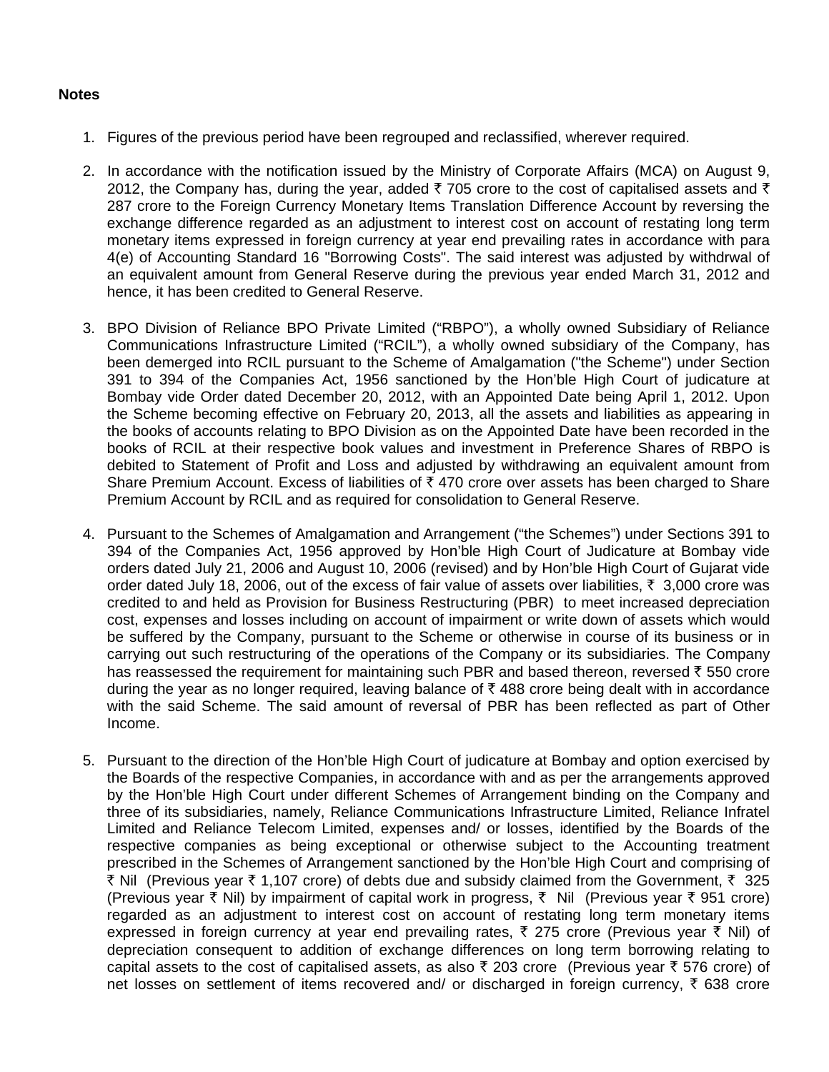## **Notes**

- 1. Figures of the previous period have been regrouped and reclassified, wherever required.
- 2. In accordance with the notification issued by the Ministry of Corporate Affairs (MCA) on August 9, 2012, the Company has, during the year, added  $\bar{\tau}$  705 crore to the cost of capitalised assets and  $\bar{\tau}$ 287 crore to the Foreign Currency Monetary Items Translation Difference Account by reversing the exchange difference regarded as an adjustment to interest cost on account of restating long term monetary items expressed in foreign currency at year end prevailing rates in accordance with para 4(e) of Accounting Standard 16 "Borrowing Costs". The said interest was adjusted by withdrwal of an equivalent amount from General Reserve during the previous year ended March 31, 2012 and hence, it has been credited to General Reserve.
- 3. BPO Division of Reliance BPO Private Limited ("RBPO"), a wholly owned Subsidiary of Reliance Communications Infrastructure Limited ("RCIL"), a wholly owned subsidiary of the Company, has been demerged into RCIL pursuant to the Scheme of Amalgamation ("the Scheme") under Section 391 to 394 of the Companies Act, 1956 sanctioned by the Hon'ble High Court of judicature at Bombay vide Order dated December 20, 2012, with an Appointed Date being April 1, 2012. Upon the Scheme becoming effective on February 20, 2013, all the assets and liabilities as appearing in the books of accounts relating to BPO Division as on the Appointed Date have been recorded in the books of RCIL at their respective book values and investment in Preference Shares of RBPO is debited to Statement of Profit and Loss and adjusted by withdrawing an equivalent amount from Share Premium Account. Excess of liabilities of  $\bar{\tau}$  470 crore over assets has been charged to Share Premium Account by RCIL and as required for consolidation to General Reserve.
- 4. Pursuant to the Schemes of Amalgamation and Arrangement ("the Schemes") under Sections 391 to 394 of the Companies Act, 1956 approved by Hon'ble High Court of Judicature at Bombay vide orders dated July 21, 2006 and August 10, 2006 (revised) and by Hon'ble High Court of Gujarat vide order dated July 18, 2006, out of the excess of fair value of assets over liabilities,  $\bar{\tau}$  3,000 crore was credited to and held as Provision for Business Restructuring (PBR) to meet increased depreciation cost, expenses and losses including on account of impairment or write down of assets which would be suffered by the Company, pursuant to the Scheme or otherwise in course of its business or in carrying out such restructuring of the operations of the Company or its subsidiaries. The Company has reassessed the requirement for maintaining such PBR and based thereon, reversed  $\bar{\tau}$  550 crore during the year as no longer required, leaving balance of  $\bar{\tau}$  488 crore being dealt with in accordance with the said Scheme. The said amount of reversal of PBR has been reflected as part of Other Income.
- 5. Pursuant to the direction of the Hon'ble High Court of judicature at Bombay and option exercised by the Boards of the respective Companies, in accordance with and as per the arrangements approved by the Hon'ble High Court under different Schemes of Arrangement binding on the Company and three of its subsidiaries, namely, Reliance Communications Infrastructure Limited, Reliance Infratel Limited and Reliance Telecom Limited, expenses and/ or losses, identified by the Boards of the respective companies as being exceptional or otherwise subject to the Accounting treatment prescribed in the Schemes of Arrangement sanctioned by the Hon'ble High Court and comprising of ₹ Nil (Previous year ₹ 1,107 crore) of debts due and subsidy claimed from the Government, ₹ 325 (Previous year  $\bar{\tau}$  Nil) by impairment of capital work in progress,  $\bar{\tau}$  Nil (Previous year  $\bar{\tau}$  951 crore) regarded as an adjustment to interest cost on account of restating long term monetary items expressed in foreign currency at year end prevailing rates,  $\bar{\tau}$  275 crore (Previous year  $\bar{\tau}$  Nil) of depreciation consequent to addition of exchange differences on long term borrowing relating to capital assets to the cost of capitalised assets, as also  $\bar{\tau}$  203 crore (Previous year  $\bar{\tau}$  576 crore) of net losses on settlement of items recovered and/ or discharged in foreign currency,  $\bar{\tau}$  638 crore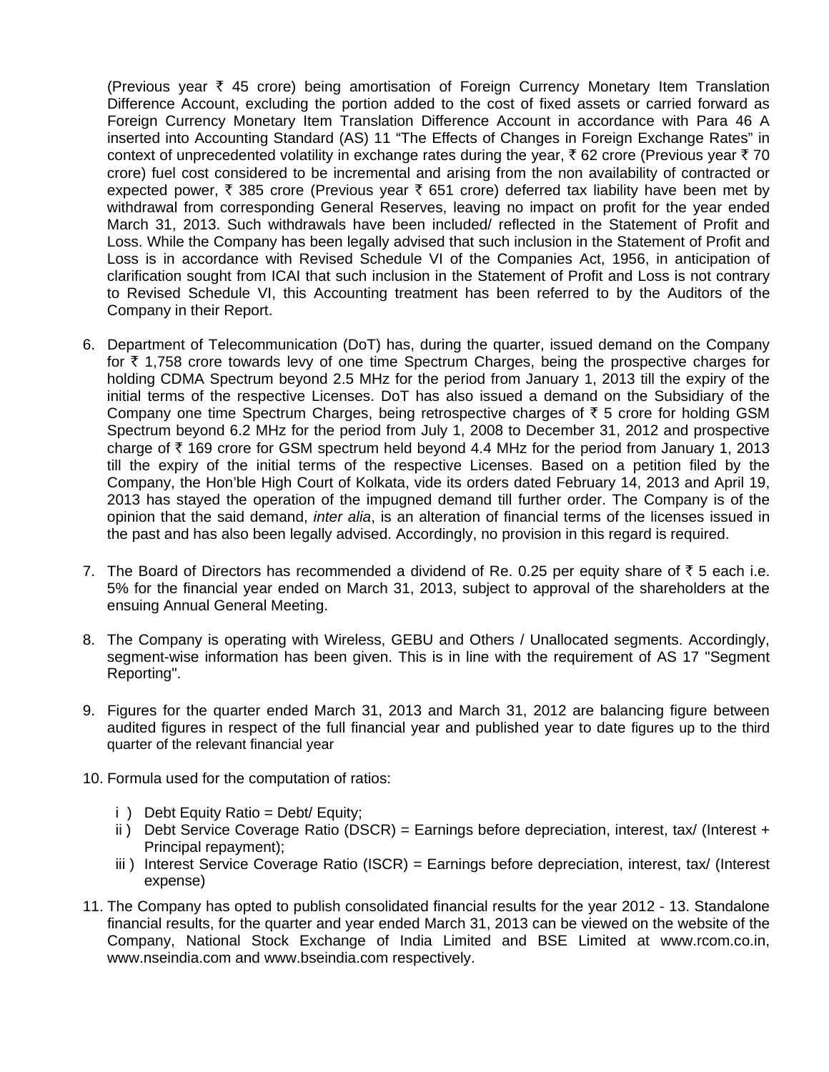(Previous year  $\bar{\tau}$  45 crore) being amortisation of Foreign Currency Monetary Item Translation Difference Account, excluding the portion added to the cost of fixed assets or carried forward as Foreign Currency Monetary Item Translation Difference Account in accordance with Para 46 A inserted into Accounting Standard (AS) 11 "The Effects of Changes in Foreign Exchange Rates" in context of unprecedented volatility in exchange rates during the year,  $\bar{\tau}$  62 crore (Previous year  $\bar{\tau}$  70 crore) fuel cost considered to be incremental and arising from the non availability of contracted or expected power,  $\bar{\tau}$  385 crore (Previous year  $\bar{\tau}$  651 crore) deferred tax liability have been met by withdrawal from corresponding General Reserves, leaving no impact on profit for the year ended March 31, 2013. Such withdrawals have been included/ reflected in the Statement of Profit and Loss. While the Company has been legally advised that such inclusion in the Statement of Profit and Loss is in accordance with Revised Schedule VI of the Companies Act, 1956, in anticipation of clarification sought from ICAI that such inclusion in the Statement of Profit and Loss is not contrary to Revised Schedule VI, this Accounting treatment has been referred to by the Auditors of the Company in their Report.

- 6. Department of Telecommunication (DoT) has, during the quarter, issued demand on the Company for  $\bar{\tau}$  1,758 crore towards levy of one time Spectrum Charges, being the prospective charges for holding CDMA Spectrum beyond 2.5 MHz for the period from January 1, 2013 till the expiry of the initial terms of the respective Licenses. DoT has also issued a demand on the Subsidiary of the Company one time Spectrum Charges, being retrospective charges of  $\bar{\tau}$  5 crore for holding GSM Spectrum beyond 6.2 MHz for the period from July 1, 2008 to December 31, 2012 and prospective charge of  $\bar{\tau}$  169 crore for GSM spectrum held beyond 4.4 MHz for the period from January 1, 2013 till the expiry of the initial terms of the respective Licenses. Based on a petition filed by the Company, the Hon'ble High Court of Kolkata, vide its orders dated February 14, 2013 and April 19, 2013 has stayed the operation of the impugned demand till further order. The Company is of the opinion that the said demand, *inter alia*, is an alteration of financial terms of the licenses issued in the past and has also been legally advised. Accordingly, no provision in this regard is required.
- 7. The Board of Directors has recommended a dividend of Re. 0.25 per equity share of  $\bar{\tau}$  5 each i.e. 5% for the financial year ended on March 31, 2013, subject to approval of the shareholders at the ensuing Annual General Meeting.
- 8. The Company is operating with Wireless, GEBU and Others / Unallocated segments. Accordingly, segment-wise information has been given. This is in line with the requirement of AS 17 "Segment Reporting".
- 9. Figures for the quarter ended March 31, 2013 and March 31, 2012 are balancing figure between audited figures in respect of the full financial year and published year to date figures up to the third quarter of the relevant financial year
- 10. Formula used for the computation of ratios:
	- i ) Debt Equity Ratio = Debt/ Equity;
	- ii) Debt Service Coverage Ratio (DSCR) = Earnings before depreciation, interest, tax/ (Interest + Principal repayment);
	- iii) Interest Service Coverage Ratio (ISCR) = Earnings before depreciation, interest, tax/ (Interest expense)
- 11. The Company has opted to publish consolidated financial results for the year 2012 13. Standalone financial results, for the quarter and year ended March 31, 2013 can be viewed on the website of the Company, National Stock Exchange of India Limited and BSE Limited at www.rcom.co.in, www.nseindia.com and www.bseindia.com respectively.